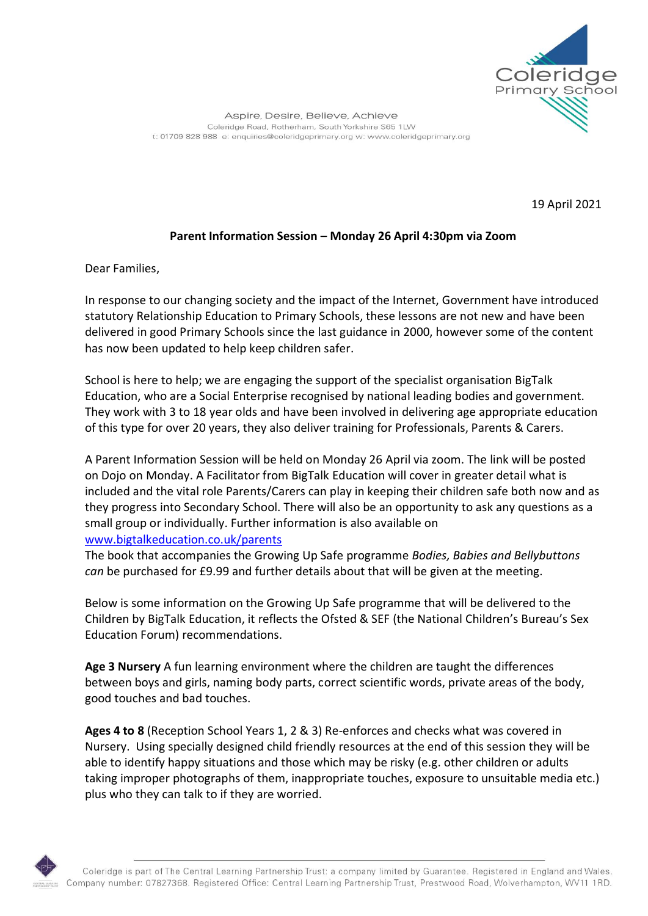

19 April 2021

## **Parent Information Session – Monday 26 April 4:30pm via Zoom**

Dear Families,

In response to our changing society and the impact of the Internet, Government have introduced statutory Relationship Education to Primary Schools, these lessons are not new and have been delivered in good Primary Schools since the last guidance in 2000, however some of the content has now been updated to help keep children safer.

School is here to help; we are engaging the support of the specialist organisation BigTalk Education, who are a Social Enterprise recognised by national leading bodies and government. They work with 3 to 18 year olds and have been involved in delivering age appropriate education of this type for over 20 years, they also deliver training for Professionals, Parents & Carers.

A Parent Information Session will be held on Monday 26 April via zoom. The link will be posted on Dojo on Monday. A Facilitator from BigTalk Education will cover in greater detail what is included and the vital role Parents/Carers can play in keeping their children safe both now and as they progress into Secondary School. There will also be an opportunity to ask any questions as a small group or individually. Further information is also available on [www.bigtalkeducation.co.uk/parents](http://www.bigtalkeducation.co.uk/parents)

The book that accompanies the Growing Up Safe programme *Bodies, Babies and Bellybuttons can* be purchased for £9.99 and further details about that will be given at the meeting.

Below is some information on the Growing Up Safe programme that will be delivered to the Children by BigTalk Education, it reflects the Ofsted & SEF (the National Children's Bureau's Sex Education Forum) recommendations.

**Age 3 Nursery** A fun learning environment where the children are taught the differences between boys and girls, naming body parts, correct scientific words, private areas of the body, good touches and bad touches.

**Ages 4 to 8** (Reception School Years 1, 2 & 3) Re-enforces and checks what was covered in Nursery. Using specially designed child friendly resources at the end of this session they will be able to identify happy situations and those which may be risky (e.g. other children or adults taking improper photographs of them, inappropriate touches, exposure to unsuitable media etc.) plus who they can talk to if they are worried.